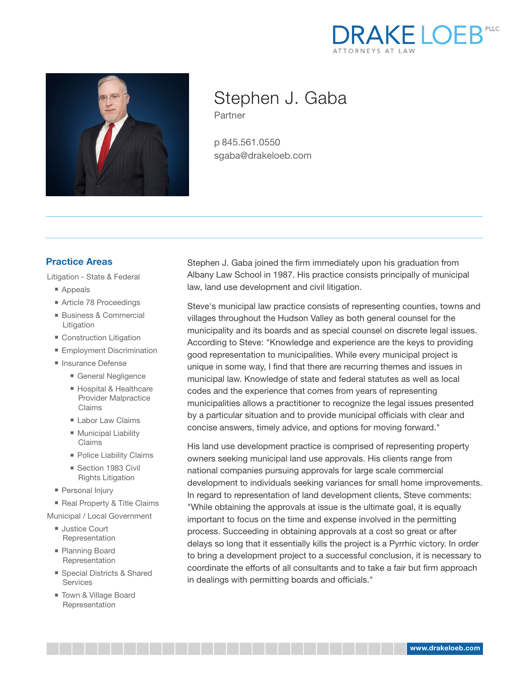



# Stephen J. Gaba

Partner

p 845.561.0550 sgaba@drakeloeb.com

### **Practice Areas**

Litigation - State & Federal

- Appeals
- Article 78 Proceedings
- Business & Commercial Litigation
- Construction Litigation
- Employment Discrimination
- Insurance Defense
	- General Negligence
	- Hospital & Healthcare Provider Malpractice Claims
	- Labor Law Claims
	- Municipal Liability Claims
	- Police Liability Claims
	- Section 1983 Civil Rights Litigation
- Personal Injury
- Real Property & Title Claims
- Municipal / Local Government
	- Justice Court Representation
	- Planning Board Representation
	- Special Districts & Shared Services
	- Town & Village Board Representation

Stephen J. Gaba joined the firm immediately upon his graduation from Albany Law School in 1987. His practice consists principally of municipal law, land use development and civil litigation.

Steve's municipal law practice consists of representing counties, towns and villages throughout the Hudson Valley as both general counsel for the municipality and its boards and as special counsel on discrete legal issues. According to Steve: "Knowledge and experience are the keys to providing good representation to municipalities. While every municipal project is unique in some way, I find that there are recurring themes and issues in municipal law. Knowledge of state and federal statutes as well as local codes and the experience that comes from years of representing municipalities allows a practitioner to recognize the legal issues presented by a particular situation and to provide municipal officials with clear and concise answers, timely advice, and options for moving forward."

His land use development practice is comprised of representing property owners seeking municipal land use approvals. His clients range from national companies pursuing approvals for large scale commercial development to individuals seeking variances for small home improvements. In regard to representation of land development clients, Steve comments: "While obtaining the approvals at issue is the ultimate goal, it is equally important to focus on the time and expense involved in the permitting process. Succeeding in obtaining approvals at a cost so great or after delays so long that it essentially kills the project is a Pyrrhic victory. In order to bring a development project to a successful conclusion, it is necessary to coordinate the efforts of all consultants and to take a fair but firm approach in dealings with permitting boards and officials."